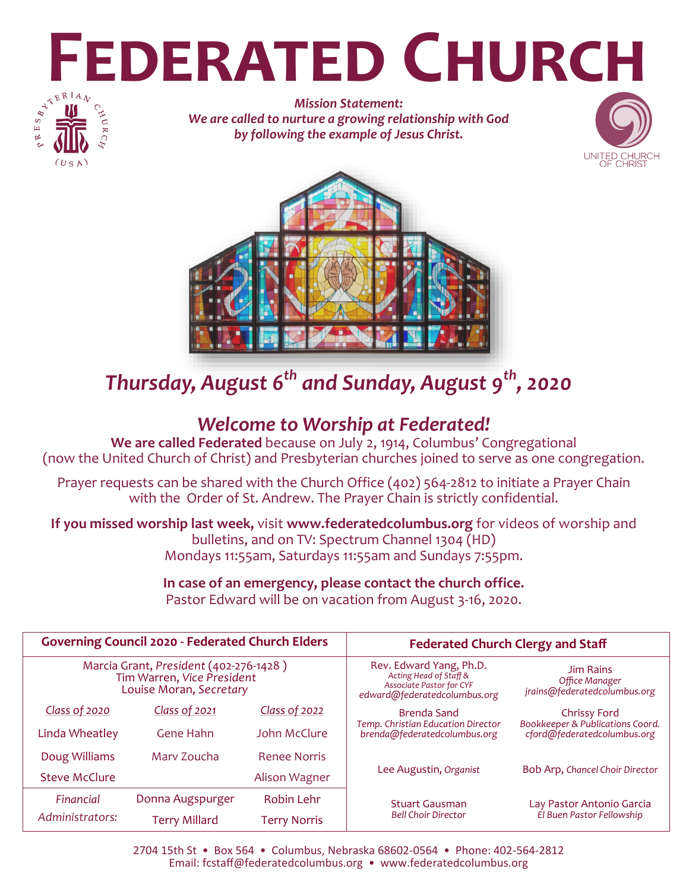# **FEDERATED CHURCH**



*Mission Statement: We are called to nurture a growing relationship with God by following the example of Jesus Christ.*





*Thursday, August 6th and Sunday, August 9th, 2020*

## *Welcome to Worship at Federated!*

**We are called Federated** because on July 2, 1914, Columbus' Congregational (now the United Church of Christ) and Presbyterian churches joined to serve as one congregation.

Prayer requests can be shared with the Church Office (402) 564-2812 to initiate a Prayer Chain with the Order of St. Andrew. The Prayer Chain is strictly confidential.

**If you missed worship last week,** visit **www.federatedcolumbus.org** for videos of worship and bulletins, and on TV: Spectrum Channel 1304 (HD) Mondays 11:55am, Saturdays 11:55am and Sundays 7:55pm.

# **In case of an emergency, please contact the church office.**

Pastor Edward will be on vacation from August 3-16, 2020.

| <b>Governing Council 2020 - Federated Church Elders</b>                                         |                      |                     | <b>Federated Church Clergy and Staff</b>                                                                             |                                                                    |
|-------------------------------------------------------------------------------------------------|----------------------|---------------------|----------------------------------------------------------------------------------------------------------------------|--------------------------------------------------------------------|
| Marcia Grant, President (402-276-1428)<br>Tim Warren, Vice President<br>Louise Moran, Secretary |                      |                     | Rev. Edward Yang, Ph.D.<br>Acting Head of Staff &<br><b>Associate Pastor for CYF</b><br>edward@federatedcolumbus.org | <b>Jim Rains</b><br>Office Manager<br>jrains@federatedcolumbus.org |
| Class of 2020                                                                                   | Class of 2021        | Class of 2022       | <b>Brenda Sand</b>                                                                                                   | Chrissy Ford                                                       |
| Linda Wheatley                                                                                  | <b>Gene Hahn</b>     | John McClure        | Temp. Christian Education Director<br>brenda@federatedcolumbus.org                                                   | Bookkeeper & Publications Coord.<br>cford@federatedcolumbus.org    |
| Doug Williams                                                                                   | Mary Zoucha          | <b>Renee Norris</b> |                                                                                                                      |                                                                    |
| <b>Steve McClure</b>                                                                            |                      | Alison Wagner       | Lee Augustin, Organist                                                                                               | Bob Arp, Chancel Choir Director                                    |
| Financial                                                                                       | Donna Augspurger     | <b>Robin Lehr</b>   | <b>Stuart Gausman</b><br><b>Bell Choir Director</b>                                                                  | Lay Pastor Antonio Garcia<br>El Buen Pastor Fellowship             |
| Administrators:                                                                                 | <b>Terry Millard</b> | <b>Terry Norris</b> |                                                                                                                      |                                                                    |

2704 15th St • Box 564 • Columbus, Nebraska 68602-0564 • Phone: 402-564-2812 Email: fcstaff@federatedcolumbus.org • www.federatedcolumbus.org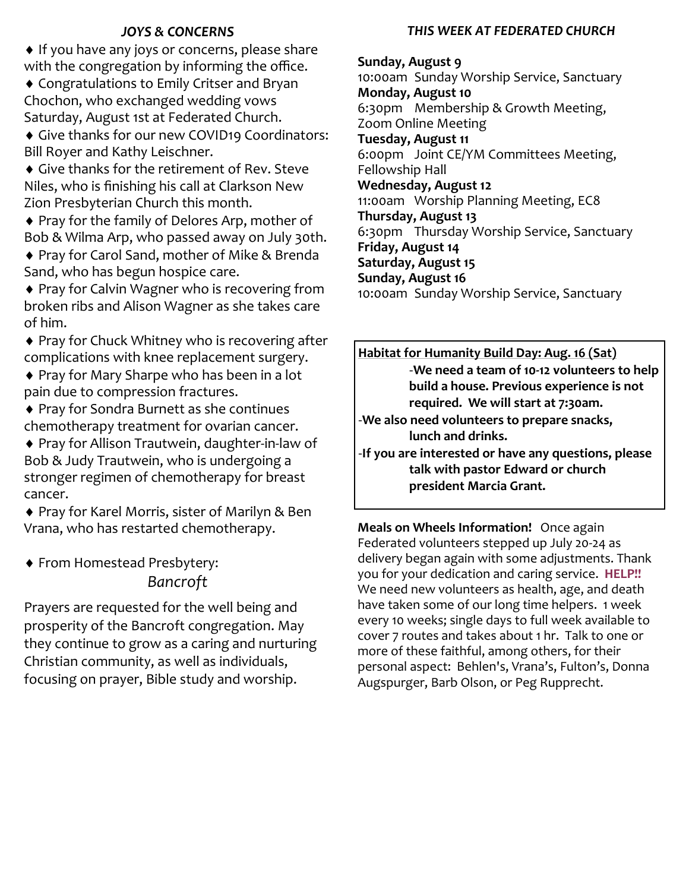#### *JOYS & CONCERNS*

♦ If you have any joys or concerns, please share with the congregation by informing the office.

 Congratulations to Emily Critser and Bryan Chochon, who exchanged wedding vows Saturday, August 1st at Federated Church.

 Give thanks for our new COVID19 Coordinators: Bill Royer and Kathy Leischner.

 Give thanks for the retirement of Rev. Steve Niles, who is finishing his call at Clarkson New Zion Presbyterian Church this month.

◆ Pray for the family of Delores Arp, mother of Bob & Wilma Arp, who passed away on July 30th.

◆ Pray for Carol Sand, mother of Mike & Brenda Sand, who has begun hospice care.

◆ Pray for Calvin Wagner who is recovering from broken ribs and Alison Wagner as she takes care of him.

◆ Pray for Chuck Whitney who is recovering after complications with knee replacement surgery.

◆ Pray for Mary Sharpe who has been in a lot pain due to compression fractures.

 Pray for Sondra Burnett as she continues chemotherapy treatment for ovarian cancer.

 Pray for Allison Trautwein, daughter-in-law of Bob & Judy Trautwein, who is undergoing a stronger regimen of chemotherapy for breast cancer.

◆ Pray for Karel Morris, sister of Marilyn & Ben Vrana, who has restarted chemotherapy.

 From Homestead Presbytery: *Bancroft*

Prayers are requested for the well being and prosperity of the Bancroft congregation. May they continue to grow as a caring and nurturing Christian community, as well as individuals, focusing on prayer, Bible study and worship.

#### *THIS WEEK AT FEDERATED CHURCH*

**Sunday, August 9** 10:00am Sunday Worship Service, Sanctuary **Monday, August 10** 6:30pm Membership & Growth Meeting, Zoom Online Meeting **Tuesday, August 11** 6:00pm Joint CE/YM Committees Meeting, Fellowship Hall **Wednesday, August 12** 11:00am Worship Planning Meeting, EC8 **Thursday, August 13** 6:30pm Thursday Worship Service, Sanctuary **Friday, August 14 Saturday, August 15 Sunday, August 16** 10:00am Sunday Worship Service, Sanctuary

**Habitat for Humanity Build Day: Aug. 16 (Sat)** -**We need a team of 10-12 volunteers to help build a house. Previous experience is not required. We will start at 7:30am.**

-**We also need volunteers to prepare snacks, lunch and drinks.**

-**If you are interested or have any questions, please talk with pastor Edward or church president Marcia Grant.**

**Meals on Wheels Information!** Once again Federated volunteers stepped up July 20-24 as delivery began again with some adjustments. Thank you for your dedication and caring service. **HELP!!**  We need new volunteers as health, age, and death have taken some of our long time helpers. 1 week every 10 weeks; single days to full week available to cover 7 routes and takes about 1 hr. Talk to one or more of these faithful, among others, for their personal aspect: Behlen's, Vrana's, Fulton's, Donna Augspurger, Barb Olson, or Peg Rupprecht.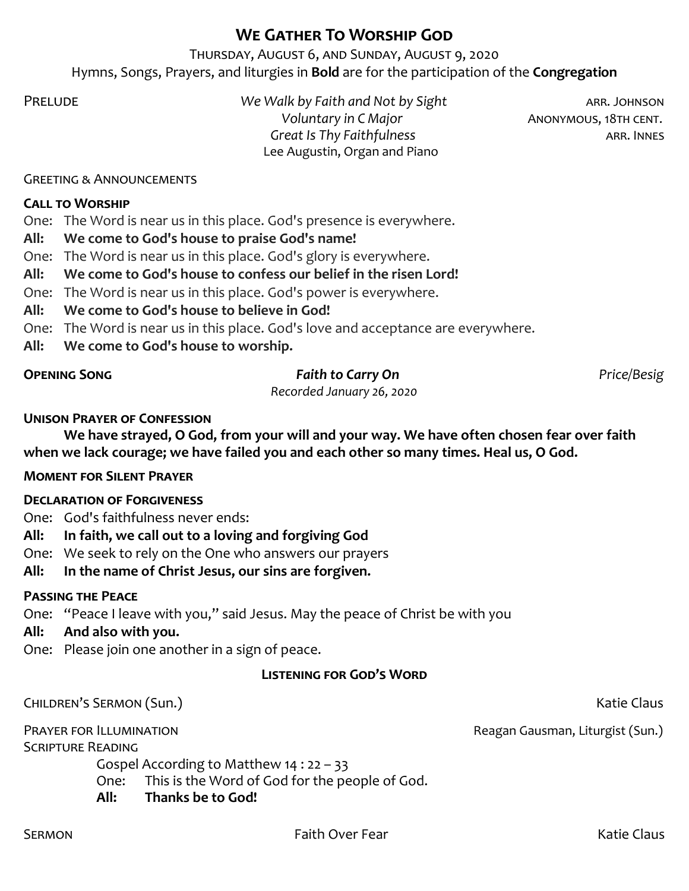### **We Gather To Worship God**

Thursday, August 6, and Sunday, August 9, 2020 Hymns, Songs, Prayers, and liturgies in **Bold** are for the participation of the **Congregation**

Prelude *We Walk by Faith and Not by Sight* arr. Johnson *Voluntary in C Major* **ANONYMOUS, 18TH CENT.** *Great Is Thy Faithfulness* **arrows arrest arrival arrows ARR. INNES** Lee Augustin, Organ and Piano

Greeting & Announcements

#### **Call to Worship**

One: The Word is near us in this place. God's presence is everywhere.

**All: We come to God's house to praise God's name!**

One: The Word is near us in this place. God's glory is everywhere.

**All: We come to God's house to confess our belief in the risen Lord!**

One: The Word is near us in this place. God's power is everywhere.

**All: We come to God's house to believe in God!**

One: The Word is near us in this place. God's love and acceptance are everywhere.

**All: We come to God's house to worship.** 

#### **Opening Song** *Faith to Carry On Price/Besig*

*Recorded January 26, 2020*

#### **Unison Prayer of Confession**

**We have strayed, O God, from your will and your way. We have often chosen fear over faith when we lack courage; we have failed you and each other so many times. Heal us, O God.** 

#### **Moment for Silent Prayer**

#### **Declaration of Forgiveness**

One: God's faithfulness never ends:

**All: In faith, we call out to a loving and forgiving God**

One: We seek to rely on the One who answers our prayers

Gospel According to Matthew 14 : 22 – 33

**All: In the name of Christ Jesus, our sins are forgiven.**

#### **Passing the Peace**

One: "Peace I leave with you," said Jesus. May the peace of Christ be with you

One: This is the Word of God for the people of God.

#### **All: And also with you.**

One: Please join one another in a sign of peace.

**All: Thanks be to God!**

#### **Listening for God's Word**

Children's Sermon (Sun.) Katie Claus

Scripture Reading

PRAYER FOR ILLUMINATION **PRAYER FOR ILLUMINATION**